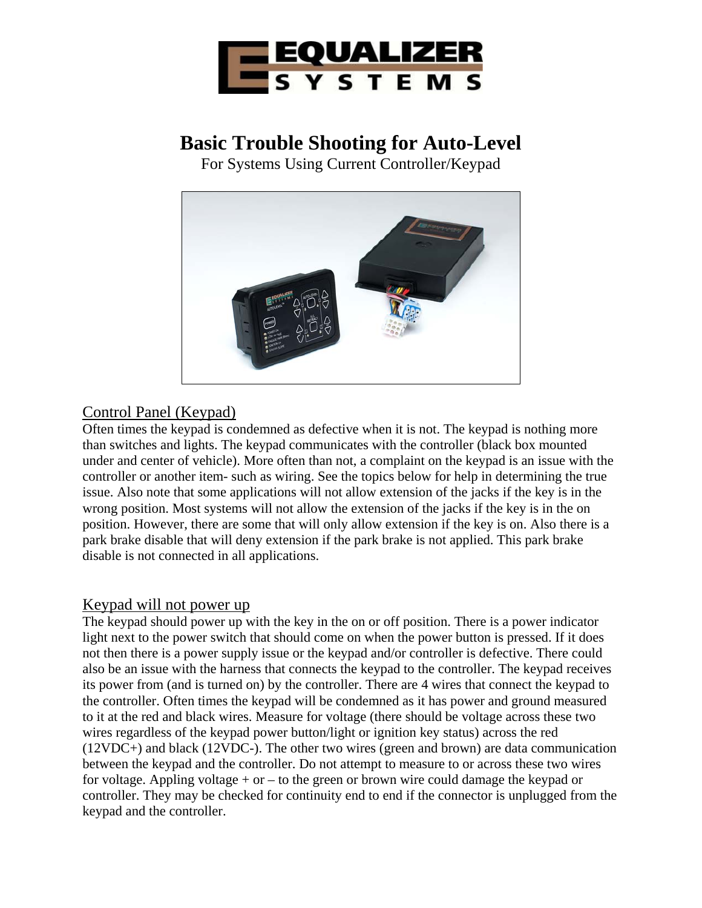

# **Basic Trouble Shooting for Auto-Level**

For Systems Using Current Controller/Keypad



## Control Panel (Keypad)

Often times the keypad is condemned as defective when it is not. The keypad is nothing more than switches and lights. The keypad communicates with the controller (black box mounted under and center of vehicle). More often than not, a complaint on the keypad is an issue with the controller or another item- such as wiring. See the topics below for help in determining the true issue. Also note that some applications will not allow extension of the jacks if the key is in the wrong position. Most systems will not allow the extension of the jacks if the key is in the on position. However, there are some that will only allow extension if the key is on. Also there is a park brake disable that will deny extension if the park brake is not applied. This park brake disable is not connected in all applications.

#### Keypad will not power up

The keypad should power up with the key in the on or off position. There is a power indicator light next to the power switch that should come on when the power button is pressed. If it does not then there is a power supply issue or the keypad and/or controller is defective. There could also be an issue with the harness that connects the keypad to the controller. The keypad receives its power from (and is turned on) by the controller. There are 4 wires that connect the keypad to the controller. Often times the keypad will be condemned as it has power and ground measured to it at the red and black wires. Measure for voltage (there should be voltage across these two wires regardless of the keypad power button/light or ignition key status) across the red (12VDC+) and black (12VDC-). The other two wires (green and brown) are data communication between the keypad and the controller. Do not attempt to measure to or across these two wires for voltage. Appling voltage  $+$  or  $-$  to the green or brown wire could damage the keypad or controller. They may be checked for continuity end to end if the connector is unplugged from the keypad and the controller.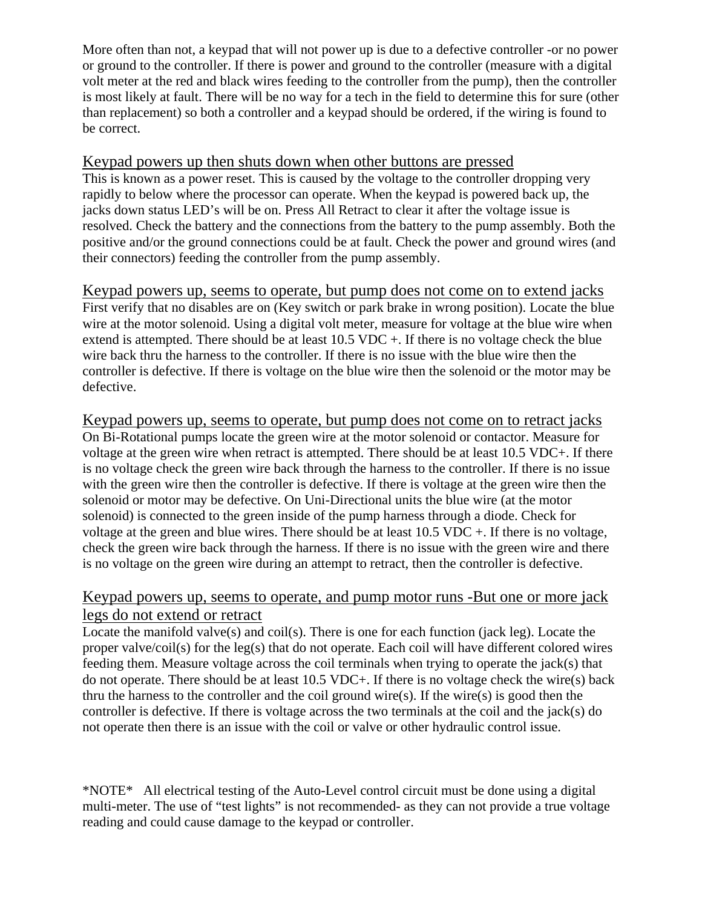More often than not, a keypad that will not power up is due to a defective controller -or no power or ground to the controller. If there is power and ground to the controller (measure with a digital volt meter at the red and black wires feeding to the controller from the pump), then the controller is most likely at fault. There will be no way for a tech in the field to determine this for sure (other than replacement) so both a controller and a keypad should be ordered, if the wiring is found to be correct.

#### Keypad powers up then shuts down when other buttons are pressed

This is known as a power reset. This is caused by the voltage to the controller dropping very rapidly to below where the processor can operate. When the keypad is powered back up, the jacks down status LED's will be on. Press All Retract to clear it after the voltage issue is resolved. Check the battery and the connections from the battery to the pump assembly. Both the positive and/or the ground connections could be at fault. Check the power and ground wires (and their connectors) feeding the controller from the pump assembly.

Keypad powers up, seems to operate, but pump does not come on to extend jacks First verify that no disables are on (Key switch or park brake in wrong position). Locate the blue wire at the motor solenoid. Using a digital volt meter, measure for voltage at the blue wire when extend is attempted. There should be at least 10.5 VDC +. If there is no voltage check the blue wire back thru the harness to the controller. If there is no issue with the blue wire then the controller is defective. If there is voltage on the blue wire then the solenoid or the motor may be defective.

Keypad powers up, seems to operate, but pump does not come on to retract jacks On Bi-Rotational pumps locate the green wire at the motor solenoid or contactor. Measure for voltage at the green wire when retract is attempted. There should be at least 10.5 VDC+. If there is no voltage check the green wire back through the harness to the controller. If there is no issue with the green wire then the controller is defective. If there is voltage at the green wire then the solenoid or motor may be defective. On Uni-Directional units the blue wire (at the motor solenoid) is connected to the green inside of the pump harness through a diode. Check for voltage at the green and blue wires. There should be at least 10.5 VDC +. If there is no voltage, check the green wire back through the harness. If there is no issue with the green wire and there is no voltage on the green wire during an attempt to retract, then the controller is defective.

#### Keypad powers up, seems to operate, and pump motor runs -But one or more jack legs do not extend or retract

Locate the manifold valve(s) and coil(s). There is one for each function (jack leg). Locate the proper valve/coil(s) for the leg(s) that do not operate. Each coil will have different colored wires feeding them. Measure voltage across the coil terminals when trying to operate the jack(s) that do not operate. There should be at least 10.5 VDC+. If there is no voltage check the wire(s) back thru the harness to the controller and the coil ground wire(s). If the wire(s) is good then the controller is defective. If there is voltage across the two terminals at the coil and the jack(s) do not operate then there is an issue with the coil or valve or other hydraulic control issue.

\*NOTE\* All electrical testing of the Auto-Level control circuit must be done using a digital multi-meter. The use of "test lights" is not recommended- as they can not provide a true voltage reading and could cause damage to the keypad or controller.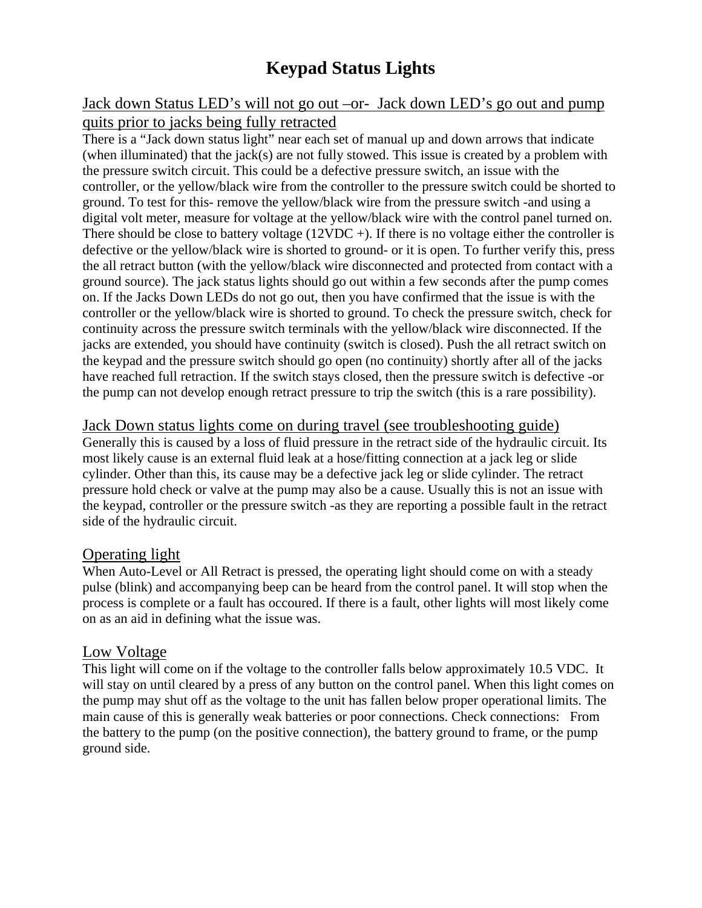## **Keypad Status Lights**

### Jack down Status LED's will not go out –or- Jack down LED's go out and pump quits prior to jacks being fully retracted

There is a "Jack down status light" near each set of manual up and down arrows that indicate (when illuminated) that the jack(s) are not fully stowed. This issue is created by a problem with the pressure switch circuit. This could be a defective pressure switch, an issue with the controller, or the yellow/black wire from the controller to the pressure switch could be shorted to ground. To test for this- remove the yellow/black wire from the pressure switch -and using a digital volt meter, measure for voltage at the yellow/black wire with the control panel turned on. There should be close to battery voltage  $(12VDC +)$ . If there is no voltage either the controller is defective or the yellow/black wire is shorted to ground- or it is open. To further verify this, press the all retract button (with the yellow/black wire disconnected and protected from contact with a ground source). The jack status lights should go out within a few seconds after the pump comes on. If the Jacks Down LEDs do not go out, then you have confirmed that the issue is with the controller or the yellow/black wire is shorted to ground. To check the pressure switch, check for continuity across the pressure switch terminals with the yellow/black wire disconnected. If the jacks are extended, you should have continuity (switch is closed). Push the all retract switch on the keypad and the pressure switch should go open (no continuity) shortly after all of the jacks have reached full retraction. If the switch stays closed, then the pressure switch is defective -or the pump can not develop enough retract pressure to trip the switch (this is a rare possibility).

#### Jack Down status lights come on during travel (see troubleshooting guide)

Generally this is caused by a loss of fluid pressure in the retract side of the hydraulic circuit. Its most likely cause is an external fluid leak at a hose/fitting connection at a jack leg or slide cylinder. Other than this, its cause may be a defective jack leg or slide cylinder. The retract pressure hold check or valve at the pump may also be a cause. Usually this is not an issue with the keypad, controller or the pressure switch -as they are reporting a possible fault in the retract side of the hydraulic circuit.

#### Operating light

When Auto-Level or All Retract is pressed, the operating light should come on with a steady pulse (blink) and accompanying beep can be heard from the control panel. It will stop when the process is complete or a fault has occoured. If there is a fault, other lights will most likely come on as an aid in defining what the issue was.

#### Low Voltage

This light will come on if the voltage to the controller falls below approximately 10.5 VDC. It will stay on until cleared by a press of any button on the control panel. When this light comes on the pump may shut off as the voltage to the unit has fallen below proper operational limits. The main cause of this is generally weak batteries or poor connections. Check connections: From the battery to the pump (on the positive connection), the battery ground to frame, or the pump ground side.